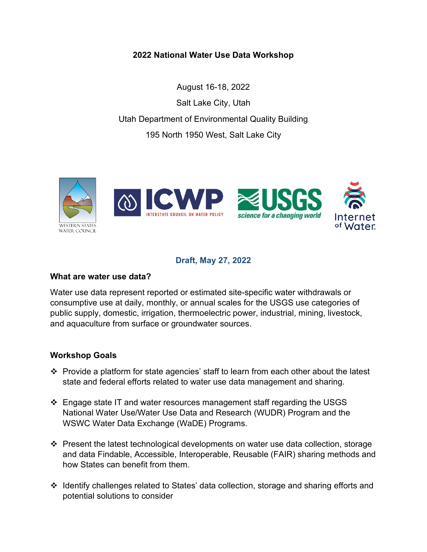**2022 National Water Use Data Workshop**

August 16-18, 2022 Salt Lake City, Utah Utah Department of Environmental Quality Building 195 North 1950 West, Salt Lake City



# **Draft, May 27, 2022**

#### **What are water use data?**

Water use data represent reported or estimated site-specific water withdrawals or consumptive use at daily, monthly, or annual scales for the USGS use categories of public supply, domestic, irrigation, thermoelectric power, industrial, mining, livestock, and aquaculture from surface or groundwater sources.

#### **Workshop Goals**

- Provide a platform for state agencies' staff to learn from each other about the latest state and federal efforts related to water use data management and sharing.
- $\div$  Engage state IT and water resources management staff regarding the USGS National Water Use/Water Use Data and Research (WUDR) Program and the WSWC Water Data Exchange (WaDE) Programs.
- Present the latest technological developments on water use data collection, storage and data Findable, Accessible, Interoperable, Reusable (FAIR) sharing methods and how States can benefit from them.
- Identify challenges related to States' data collection, storage and sharing efforts and potential solutions to consider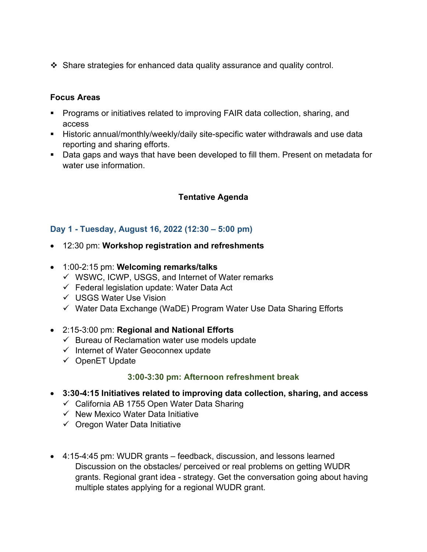Share strategies for enhanced data quality assurance and quality control.

### **Focus Areas**

- Programs or initiatives related to improving FAIR data collection, sharing, and access
- Historic annual/monthly/weekly/daily site-specific water withdrawals and use data reporting and sharing efforts.
- Data gaps and ways that have been developed to fill them. Present on metadata for water use information.

# **Tentative Agenda**

# **Day 1 - Tuesday, August 16, 2022 (12:30 – 5:00 pm)**

- 12:30 pm: **Workshop registration and refreshments**
- 1:00-2:15 pm: **Welcoming remarks/talks**
	- $\checkmark$  WSWC, ICWP, USGS, and Internet of Water remarks
	- $\checkmark$  Federal legislation update: Water Data Act
	- USGS Water Use Vision
	- $\checkmark$  Water Data Exchange (WaDE) Program Water Use Data Sharing Efforts

#### • 2:15-3:00 pm: **Regional and National Efforts**

- $\checkmark$  Bureau of Reclamation water use models update
- $\checkmark$  Internet of Water Geoconnex update
- $\checkmark$  OpenET Update

#### **3:00-3:30 pm: Afternoon refreshment break**

- **3:30-4:15 Initiatives related to improving data collection, sharing, and access**
	- $\checkmark$  California AB 1755 Open Water Data Sharing
	- $\checkmark$  New Mexico Water Data Initiative
	- $\checkmark$  Oregon Water Data Initiative
- 4:15-4:45 pm: WUDR grants feedback, discussion, and lessons learned Discussion on the obstacles/ perceived or real problems on getting WUDR grants. Regional grant idea - strategy. Get the conversation going about having multiple states applying for a regional WUDR grant.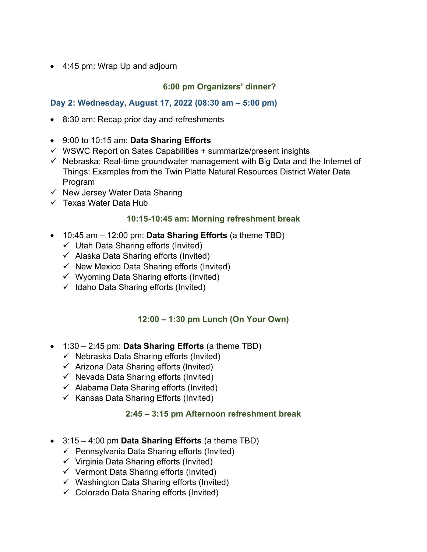• 4:45 pm: Wrap Up and adjourn

# **6:00 pm Organizers' dinner?**

# **Day 2: Wednesday, August 17, 2022 (08:30 am – 5:00 pm)**

- 8:30 am: Recap prior day and refreshments
- 9:00 to 10:15 am: **Data Sharing Efforts**
- $\checkmark$  WSWC Report on Sates Capabilities + summarize/present insights
- $\checkmark$  Nebraska: Real-time groundwater management with Big Data and the Internet of Things: Examples from the Twin Platte Natural Resources District Water Data Program
- $\checkmark$  New Jersey Water Data Sharing
- $\checkmark$  Texas Water Data Hub

### **10:15-10:45 am: Morning refreshment break**

- 10:45 am 12:00 pm: **Data Sharing Efforts** (a theme TBD)
	- $\checkmark$  Utah Data Sharing efforts (Invited)
	- $\checkmark$  Alaska Data Sharing efforts (Invited)
	- $\checkmark$  New Mexico Data Sharing efforts (Invited)
	- $\checkmark$  Wyoming Data Sharing efforts (Invited)
	- $\checkmark$  Idaho Data Sharing efforts (Invited)

# **12:00 – 1:30 pm Lunch (On Your Own)**

- 1:30 2:45 pm: **Data Sharing Efforts** (a theme TBD)
	- $\checkmark$  Nebraska Data Sharing efforts (Invited)
	- $\checkmark$  Arizona Data Sharing efforts (Invited)
	- $\checkmark$  Nevada Data Sharing efforts (Invited)
	- $\checkmark$  Alabama Data Sharing efforts (Invited)
	- $\checkmark$  Kansas Data Sharing Efforts (Invited)

# **2:45 – 3:15 pm Afternoon refreshment break**

- 3:15 4:00 pm **Data Sharing Efforts** (a theme TBD)
	- $\checkmark$  Pennsylvania Data Sharing efforts (Invited)
	- $\checkmark$  Virginia Data Sharing efforts (Invited)
	- $\checkmark$  Vermont Data Sharing efforts (Invited)
	- $\checkmark$  Washington Data Sharing efforts (Invited)
	- $\checkmark$  Colorado Data Sharing efforts (Invited)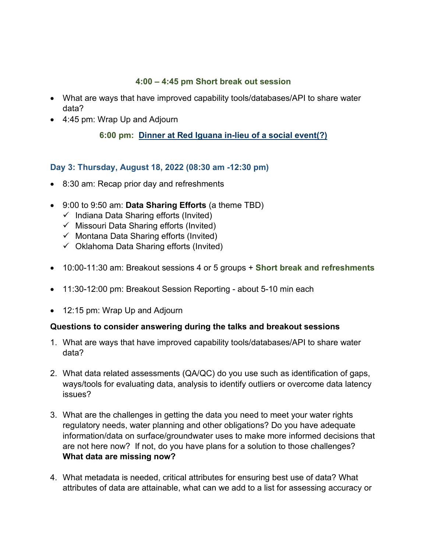### **4:00 – 4:45 pm Short break out session**

- What are ways that have improved capability tools/databases/API to share water data?
- 4:45 pm: Wrap Up and Adjourn

# **6:00 pm: Dinner at Red Iguana [in-lieu of a social event\(](https://www.abc4.com/news/local-news/giant-red-iguana-unveiled-in-salt-lake-city/848648077/)?)**

### **Day 3: Thursday, August 18, 2022 (08:30 am -12:30 pm)**

- 8:30 am: Recap prior day and refreshments
- 9:00 to 9:50 am: **Data Sharing Efforts** (a theme TBD)
	- $\checkmark$  Indiana Data Sharing efforts (Invited)
	- $\checkmark$  Missouri Data Sharing efforts (Invited)
	- $\checkmark$  Montana Data Sharing efforts (Invited)
	- $\checkmark$  Oklahoma Data Sharing efforts (Invited)
- 10:00-11:30 am: Breakout sessions 4 or 5 groups + **Short break and refreshments**
- 11:30-12:00 pm: Breakout Session Reporting about 5-10 min each
- 12:15 pm: Wrap Up and Adjourn

#### **Questions to consider answering during the talks and breakout sessions**

- 1. What are ways that have improved capability tools/databases/API to share water data?
- 2. What data related assessments (QA/QC) do you use such as identification of gaps, ways/tools for evaluating data, analysis to identify outliers or overcome data latency issues?
- 3. What are the challenges in getting the data you need to meet your water rights regulatory needs, water planning and other obligations? Do you have adequate information/data on surface/groundwater uses to make more informed decisions that are not here now? If not, do you have plans for a solution to those challenges? **What data are missing now?**
- 4. What metadata is needed, critical attributes for ensuring best use of data? What attributes of data are attainable, what can we add to a list for assessing accuracy or